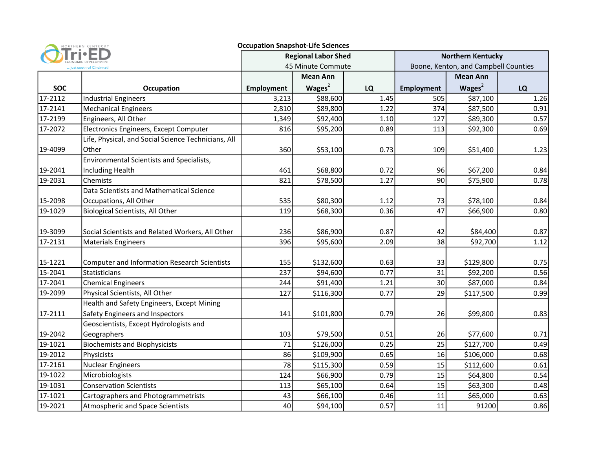|                         | NORTHERN KENTUCKY                                   | <b>Occupation Snapshot-Life Sciences</b> |                 |      |                                      |                 |      |
|-------------------------|-----------------------------------------------------|------------------------------------------|-----------------|------|--------------------------------------|-----------------|------|
|                         |                                                     | <b>Regional Labor Shed</b>               |                 |      | <b>Northern Kentucky</b>             |                 |      |
| just south of Cincinnat |                                                     | 45 Minute Commute                        |                 |      | Boone, Kenton, and Campbell Counties |                 |      |
|                         |                                                     |                                          | <b>Mean Ann</b> |      |                                      | <b>Mean Ann</b> |      |
| <b>SOC</b>              | <b>Occupation</b>                                   | <b>Employment</b>                        | Wages $2$       | LQ   | <b>Employment</b>                    | Wages $2$       | LQ   |
| 17-2112                 | <b>Industrial Engineers</b>                         | 3,213                                    | \$88,600        | 1.45 | 505                                  | \$87,100        | 1.26 |
| 17-2141                 | <b>Mechanical Engineers</b>                         | 2,810                                    | \$89,800        | 1.22 | 374                                  | \$87,500        | 0.91 |
| 17-2199                 | Engineers, All Other                                | 1,349                                    | \$92,400        | 1.10 | 127                                  | \$89,300        | 0.57 |
| 17-2072                 | Electronics Engineers, Except Computer              | 816                                      | \$95,200        | 0.89 | 113                                  | \$92,300        | 0.69 |
|                         | Life, Physical, and Social Science Technicians, All |                                          |                 |      |                                      |                 |      |
| 19-4099                 | Other                                               | 360                                      | \$53,100        | 0.73 | 109                                  | \$51,400        | 1.23 |
|                         | Environmental Scientists and Specialists,           |                                          |                 |      |                                      |                 |      |
| 19-2041                 | <b>Including Health</b>                             | 461                                      | \$68,800        | 0.72 | 96                                   | \$67,200        | 0.84 |
| 19-2031                 | Chemists                                            | 821                                      | \$78,500        | 1.27 | 90                                   | \$75,900        | 0.78 |
|                         | Data Scientists and Mathematical Science            |                                          |                 |      |                                      |                 |      |
| 15-2098                 | Occupations, All Other                              | 535                                      | \$80,300        | 1.12 | 73                                   | \$78,100        | 0.84 |
| 19-1029                 | <b>Biological Scientists, All Other</b>             | 119                                      | \$68,300        | 0.36 | 47                                   | \$66,900        | 0.80 |
|                         |                                                     |                                          |                 |      |                                      |                 |      |
| 19-3099                 | Social Scientists and Related Workers, All Other    | 236                                      | \$86,900        | 0.87 | 42                                   | \$84,400        | 0.87 |
| 17-2131                 | <b>Materials Engineers</b>                          | 396                                      | \$95,600        | 2.09 | 38                                   | \$92,700        | 1.12 |
|                         |                                                     |                                          |                 |      |                                      |                 |      |
| 15-1221                 | <b>Computer and Information Research Scientists</b> | 155                                      | \$132,600       | 0.63 | 33                                   | \$129,800       | 0.75 |
| 15-2041                 | Statisticians                                       | 237                                      | \$94,600        | 0.77 | 31                                   | \$92,200        | 0.56 |
| 17-2041                 | <b>Chemical Engineers</b>                           | 244                                      | \$91,400        | 1.21 | 30 <sup>°</sup>                      | \$87,000        | 0.84 |
| 19-2099                 | Physical Scientists, All Other                      | 127                                      | \$116,300       | 0.77 | 29                                   | \$117,500       | 0.99 |
|                         | Health and Safety Engineers, Except Mining          |                                          |                 |      |                                      |                 |      |
| 17-2111                 | Safety Engineers and Inspectors                     | 141                                      | \$101,800       | 0.79 | 26                                   | \$99,800        | 0.83 |
|                         | Geoscientists, Except Hydrologists and              |                                          |                 |      |                                      |                 |      |
| 19-2042                 | Geographers                                         | 103                                      | \$79,500        | 0.51 | 26                                   | \$77,600        | 0.71 |
| 19-1021                 | <b>Biochemists and Biophysicists</b>                | 71                                       | \$126,000       | 0.25 | 25                                   | \$127,700       | 0.49 |
| 19-2012                 | Physicists                                          | 86                                       | \$109,900       | 0.65 | 16                                   | \$106,000       | 0.68 |
| 17-2161                 | <b>Nuclear Engineers</b>                            | 78                                       | \$115,300       | 0.59 | 15                                   | \$112,600       | 0.61 |
| 19-1022                 | Microbiologists                                     | 124                                      | \$66,900        | 0.79 | 15                                   | \$64,800        | 0.54 |
| 19-1031                 | <b>Conservation Scientists</b>                      | 113                                      | \$65,100        | 0.64 | 15                                   | \$63,300        | 0.48 |
| 17-1021                 | Cartographers and Photogrammetrists                 | 43                                       | \$66,100        | 0.46 | 11                                   | \$65,000        | 0.63 |
| 19-2021                 | Atmospheric and Space Scientists                    | 40                                       | \$94,100        | 0.57 | 11                                   | 91200           | 0.86 |